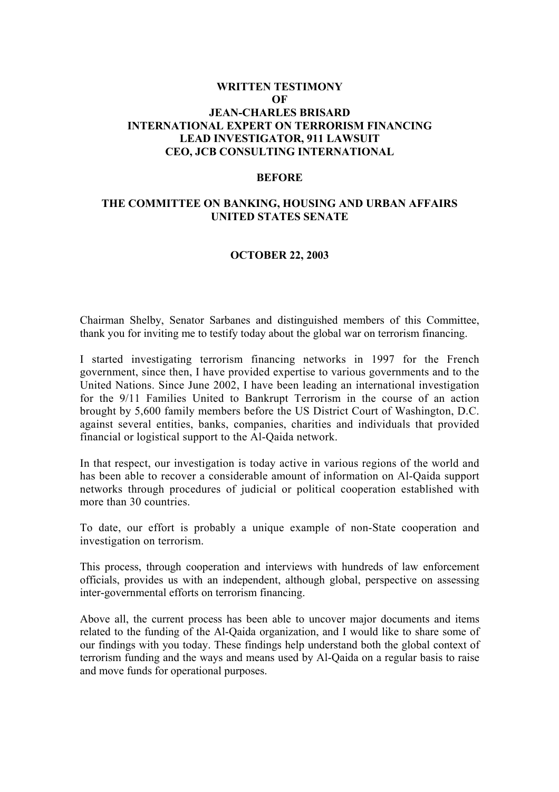### **WRITTEN TESTIMONY OF JEAN-CHARLES BRISARD INTERNATIONAL EXPERT ON TERRORISM FINANCING LEAD INVESTIGATOR, 911 LAWSUIT CEO, JCB CONSULTING INTERNATIONAL**

#### **BEFORE**

### **THE COMMITTEE ON BANKING, HOUSING AND URBAN AFFAIRS UNITED STATES SENATE**

#### **OCTOBER 22, 2003**

Chairman Shelby, Senator Sarbanes and distinguished members of this Committee, thank you for inviting me to testify today about the global war on terrorism financing.

I started investigating terrorism financing networks in 1997 for the French government, since then, I have provided expertise to various governments and to the United Nations. Since June 2002, I have been leading an international investigation for the 9/11 Families United to Bankrupt Terrorism in the course of an action brought by 5,600 family members before the US District Court of Washington, D.C. against several entities, banks, companies, charities and individuals that provided financial or logistical support to the Al-Qaida network.

In that respect, our investigation is today active in various regions of the world and has been able to recover a considerable amount of information on Al-Qaida support networks through procedures of judicial or political cooperation established with more than 30 countries.

To date, our effort is probably a unique example of non-State cooperation and investigation on terrorism.

This process, through cooperation and interviews with hundreds of law enforcement officials, provides us with an independent, although global, perspective on assessing inter-governmental efforts on terrorism financing.

Above all, the current process has been able to uncover major documents and items related to the funding of the Al-Qaida organization, and I would like to share some of our findings with you today. These findings help understand both the global context of terrorism funding and the ways and means used by Al-Qaida on a regular basis to raise and move funds for operational purposes.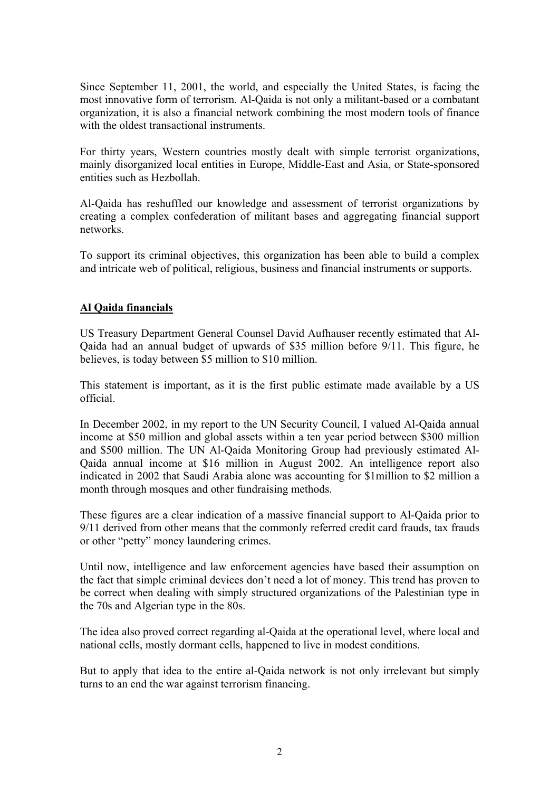Since September 11, 2001, the world, and especially the United States, is facing the most innovative form of terrorism. Al-Qaida is not only a militant-based or a combatant organization, it is also a financial network combining the most modern tools of finance with the oldest transactional instruments.

For thirty years, Western countries mostly dealt with simple terrorist organizations, mainly disorganized local entities in Europe, Middle-East and Asia, or State-sponsored entities such as Hezbollah.

Al-Qaida has reshuffled our knowledge and assessment of terrorist organizations by creating a complex confederation of militant bases and aggregating financial support networks.

To support its criminal objectives, this organization has been able to build a complex and intricate web of political, religious, business and financial instruments or supports.

## **Al Qaida financials**

US Treasury Department General Counsel David Aufhauser recently estimated that Al-Qaida had an annual budget of upwards of \$35 million before 9/11. This figure, he believes, is today between \$5 million to \$10 million.

This statement is important, as it is the first public estimate made available by a US official.

In December 2002, in my report to the UN Security Council, I valued Al-Qaida annual income at \$50 million and global assets within a ten year period between \$300 million and \$500 million. The UN Al-Qaida Monitoring Group had previously estimated Al-Qaida annual income at \$16 million in August 2002. An intelligence report also indicated in 2002 that Saudi Arabia alone was accounting for \$1million to \$2 million a month through mosques and other fundraising methods.

These figures are a clear indication of a massive financial support to Al-Qaida prior to 9/11 derived from other means that the commonly referred credit card frauds, tax frauds or other "petty" money laundering crimes.

Until now, intelligence and law enforcement agencies have based their assumption on the fact that simple criminal devices don't need a lot of money. This trend has proven to be correct when dealing with simply structured organizations of the Palestinian type in the 70s and Algerian type in the 80s.

The idea also proved correct regarding al-Qaida at the operational level, where local and national cells, mostly dormant cells, happened to live in modest conditions.

But to apply that idea to the entire al-Qaida network is not only irrelevant but simply turns to an end the war against terrorism financing.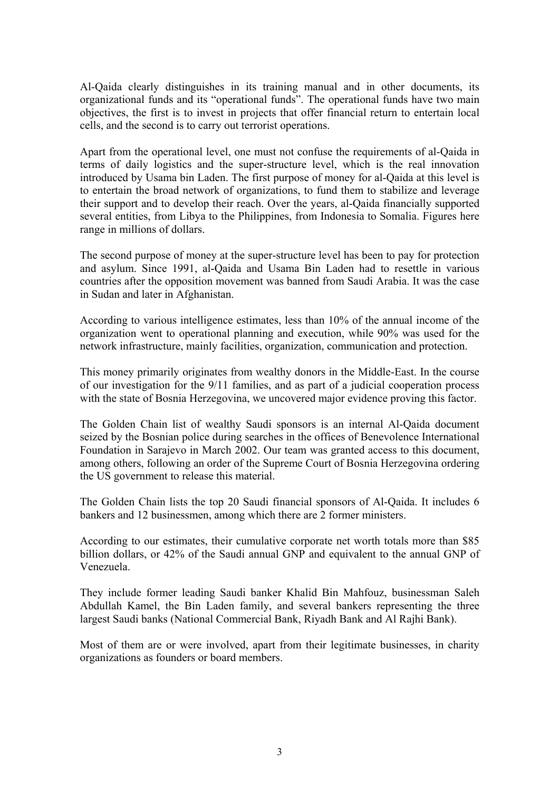Al-Qaida clearly distinguishes in its training manual and in other documents, its organizational funds and its "operational funds". The operational funds have two main objectives, the first is to invest in projects that offer financial return to entertain local cells, and the second is to carry out terrorist operations.

Apart from the operational level, one must not confuse the requirements of al-Qaida in terms of daily logistics and the super-structure level, which is the real innovation introduced by Usama bin Laden. The first purpose of money for al-Qaida at this level is to entertain the broad network of organizations, to fund them to stabilize and leverage their support and to develop their reach. Over the years, al-Qaida financially supported several entities, from Libya to the Philippines, from Indonesia to Somalia. Figures here range in millions of dollars.

The second purpose of money at the super-structure level has been to pay for protection and asylum. Since 1991, al-Qaida and Usama Bin Laden had to resettle in various countries after the opposition movement was banned from Saudi Arabia. It was the case in Sudan and later in Afghanistan.

According to various intelligence estimates, less than 10% of the annual income of the organization went to operational planning and execution, while 90% was used for the network infrastructure, mainly facilities, organization, communication and protection.

This money primarily originates from wealthy donors in the Middle-East. In the course of our investigation for the 9/11 families, and as part of a judicial cooperation process with the state of Bosnia Herzegovina, we uncovered major evidence proving this factor.

The Golden Chain list of wealthy Saudi sponsors is an internal Al-Qaida document seized by the Bosnian police during searches in the offices of Benevolence International Foundation in Sarajevo in March 2002. Our team was granted access to this document, among others, following an order of the Supreme Court of Bosnia Herzegovina ordering the US government to release this material.

The Golden Chain lists the top 20 Saudi financial sponsors of Al-Qaida. It includes 6 bankers and 12 businessmen, among which there are 2 former ministers.

According to our estimates, their cumulative corporate net worth totals more than \$85 billion dollars, or 42% of the Saudi annual GNP and equivalent to the annual GNP of Venezuela.

They include former leading Saudi banker Khalid Bin Mahfouz, businessman Saleh Abdullah Kamel, the Bin Laden family, and several bankers representing the three largest Saudi banks (National Commercial Bank, Riyadh Bank and Al Rajhi Bank).

Most of them are or were involved, apart from their legitimate businesses, in charity organizations as founders or board members.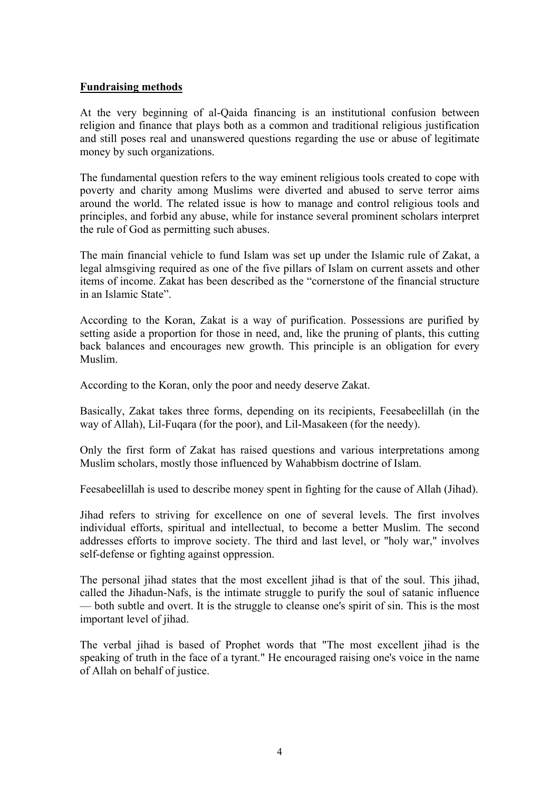### **Fundraising methods**

At the very beginning of al-Qaida financing is an institutional confusion between religion and finance that plays both as a common and traditional religious justification and still poses real and unanswered questions regarding the use or abuse of legitimate money by such organizations.

The fundamental question refers to the way eminent religious tools created to cope with poverty and charity among Muslims were diverted and abused to serve terror aims around the world. The related issue is how to manage and control religious tools and principles, and forbid any abuse, while for instance several prominent scholars interpret the rule of God as permitting such abuses.

The main financial vehicle to fund Islam was set up under the Islamic rule of Zakat, a legal almsgiving required as one of the five pillars of Islam on current assets and other items of income. Zakat has been described as the "cornerstone of the financial structure in an Islamic State".

According to the Koran, Zakat is a way of purification. Possessions are purified by setting aside a proportion for those in need, and, like the pruning of plants, this cutting back balances and encourages new growth. This principle is an obligation for every Muslim.

According to the Koran, only the poor and needy deserve Zakat.

Basically, Zakat takes three forms, depending on its recipients, Feesabeelillah (in the way of Allah), Lil-Fuqara (for the poor), and Lil-Masakeen (for the needy).

Only the first form of Zakat has raised questions and various interpretations among Muslim scholars, mostly those influenced by Wahabbism doctrine of Islam.

Feesabeelillah is used to describe money spent in fighting for the cause of Allah (Jihad).

Jihad refers to striving for excellence on one of several levels. The first involves individual efforts, spiritual and intellectual, to become a better Muslim. The second addresses efforts to improve society. The third and last level, or "holy war," involves self-defense or fighting against oppression.

The personal jihad states that the most excellent jihad is that of the soul. This jihad, called the Jihadun-Nafs, is the intimate struggle to purify the soul of satanic influence — both subtle and overt. It is the struggle to cleanse one's spirit of sin. This is the most important level of jihad.

The verbal jihad is based of Prophet words that "The most excellent jihad is the speaking of truth in the face of a tyrant." He encouraged raising one's voice in the name of Allah on behalf of justice.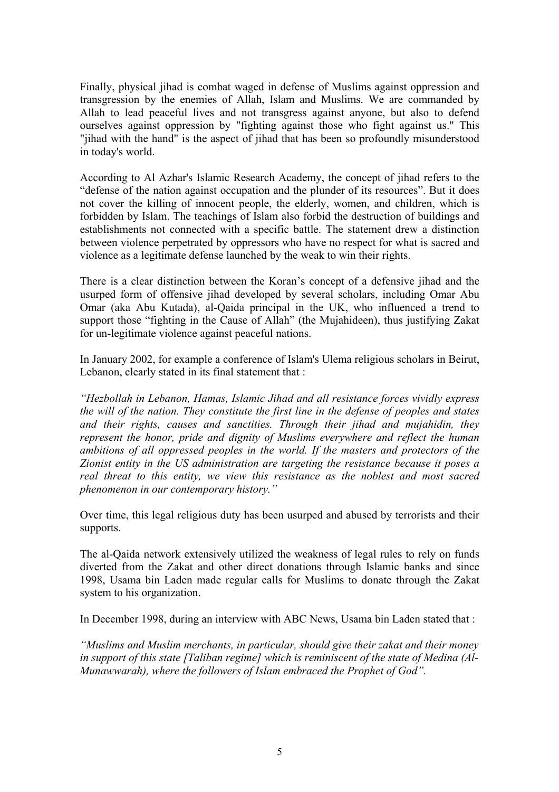Finally, physical jihad is combat waged in defense of Muslims against oppression and transgression by the enemies of Allah, Islam and Muslims. We are commanded by Allah to lead peaceful lives and not transgress against anyone, but also to defend ourselves against oppression by "fighting against those who fight against us." This "jihad with the hand" is the aspect of jihad that has been so profoundly misunderstood in today's world.

According to Al Azhar's Islamic Research Academy, the concept of jihad refers to the "defense of the nation against occupation and the plunder of its resources". But it does not cover the killing of innocent people, the elderly, women, and children, which is forbidden by Islam. The teachings of Islam also forbid the destruction of buildings and establishments not connected with a specific battle. The statement drew a distinction between violence perpetrated by oppressors who have no respect for what is sacred and violence as a legitimate defense launched by the weak to win their rights.

There is a clear distinction between the Koran's concept of a defensive jihad and the usurped form of offensive jihad developed by several scholars, including Omar Abu Omar (aka Abu Kutada), al-Qaida principal in the UK, who influenced a trend to support those "fighting in the Cause of Allah" (the Mujahideen), thus justifying Zakat for un-legitimate violence against peaceful nations.

In January 2002, for example a conference of Islam's Ulema religious scholars in Beirut, Lebanon, clearly stated in its final statement that :

*"Hezbollah in Lebanon, Hamas, Islamic Jihad and all resistance forces vividly express the will of the nation. They constitute the first line in the defense of peoples and states and their rights, causes and sanctities. Through their jihad and mujahidin, they represent the honor, pride and dignity of Muslims everywhere and reflect the human ambitions of all oppressed peoples in the world. If the masters and protectors of the Zionist entity in the US administration are targeting the resistance because it poses a real threat to this entity, we view this resistance as the noblest and most sacred phenomenon in our contemporary history."*

Over time, this legal religious duty has been usurped and abused by terrorists and their supports.

The al-Qaida network extensively utilized the weakness of legal rules to rely on funds diverted from the Zakat and other direct donations through Islamic banks and since 1998, Usama bin Laden made regular calls for Muslims to donate through the Zakat system to his organization.

In December 1998, during an interview with ABC News, Usama bin Laden stated that :

*"Muslims and Muslim merchants, in particular, should give their zakat and their money in support of this state [Taliban regime] which is reminiscent of the state of Medina (Al-Munawwarah), where the followers of Islam embraced the Prophet of God".*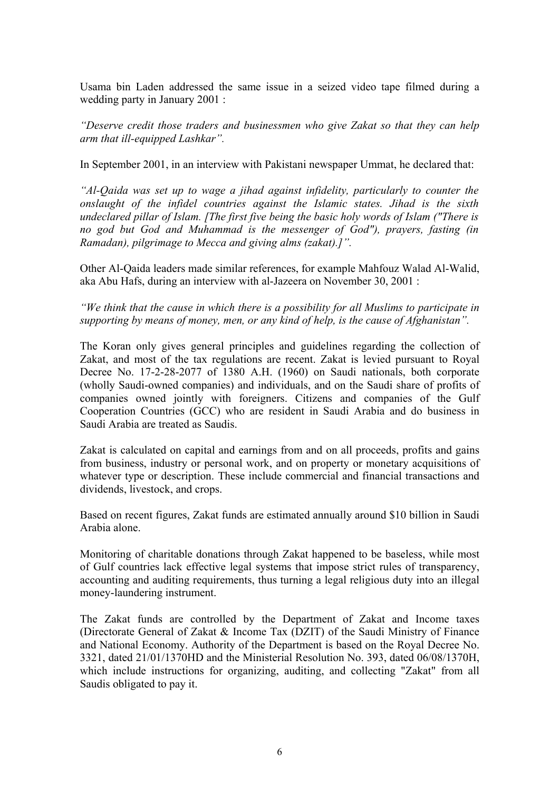Usama bin Laden addressed the same issue in a seized video tape filmed during a wedding party in January 2001 :

*"Deserve credit those traders and businessmen who give Zakat so that they can help arm that ill-equipped Lashkar".* 

In September 2001, in an interview with Pakistani newspaper Ummat, he declared that:

*"Al-Qaida was set up to wage a jihad against infidelity, particularly to counter the onslaught of the infidel countries against the Islamic states. Jihad is the sixth undeclared pillar of Islam. [The first five being the basic holy words of Islam ("There is no god but God and Muhammad is the messenger of God"), prayers, fasting (in Ramadan), pilgrimage to Mecca and giving alms (zakat).]".* 

Other Al-Qaida leaders made similar references, for example Mahfouz Walad Al-Walid, aka Abu Hafs, during an interview with al-Jazeera on November 30, 2001 :

*"We think that the cause in which there is a possibility for all Muslims to participate in supporting by means of money, men, or any kind of help, is the cause of Afghanistan".* 

The Koran only gives general principles and guidelines regarding the collection of Zakat, and most of the tax regulations are recent. Zakat is levied pursuant to Royal Decree No. 17-2-28-2077 of 1380 A.H. (1960) on Saudi nationals, both corporate (wholly Saudi-owned companies) and individuals, and on the Saudi share of profits of companies owned jointly with foreigners. Citizens and companies of the Gulf Cooperation Countries (GCC) who are resident in Saudi Arabia and do business in Saudi Arabia are treated as Saudis.

Zakat is calculated on capital and earnings from and on all proceeds, profits and gains from business, industry or personal work, and on property or monetary acquisitions of whatever type or description. These include commercial and financial transactions and dividends, livestock, and crops.

Based on recent figures, Zakat funds are estimated annually around \$10 billion in Saudi Arabia alone.

Monitoring of charitable donations through Zakat happened to be baseless, while most of Gulf countries lack effective legal systems that impose strict rules of transparency, accounting and auditing requirements, thus turning a legal religious duty into an illegal money-laundering instrument.

The Zakat funds are controlled by the Department of Zakat and Income taxes (Directorate General of Zakat & Income Tax (DZIT) of the Saudi Ministry of Finance and National Economy. Authority of the Department is based on the Royal Decree No. 3321, dated 21/01/1370HD and the Ministerial Resolution No. 393, dated 06/08/1370H, which include instructions for organizing, auditing, and collecting "Zakat" from all Saudis obligated to pay it.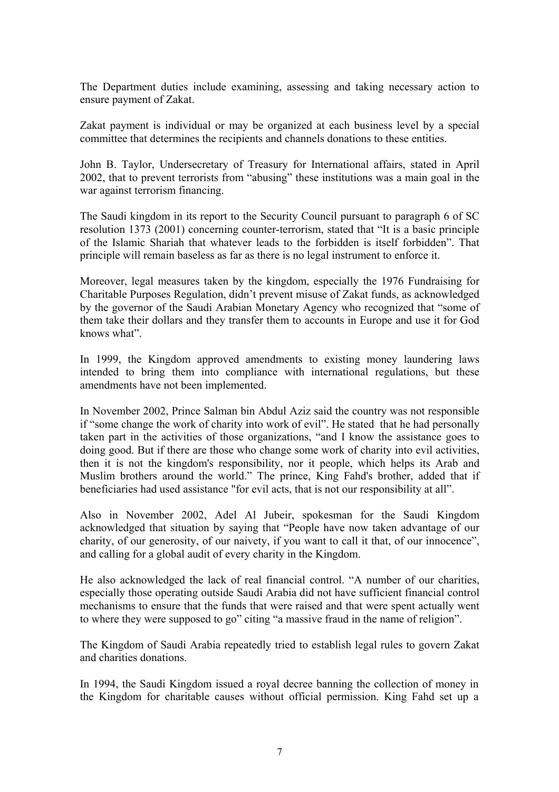The Department duties include examining, assessing and taking necessary action to ensure payment of Zakat.

Zakat payment is individual or may be organized at each business level by a special committee that determines the recipients and channels donations to these entities.

John B. Taylor, Undersecretary of Treasury for International affairs, stated in April 2002, that to prevent terrorists from "abusing" these institutions was a main goal in the war against terrorism financing.

The Saudi kingdom in its report to the Security Council pursuant to paragraph 6 of SC resolution 1373 (2001) concerning counter-terrorism, stated that "It is a basic principle of the Islamic Shariah that whatever leads to the forbidden is itself forbidden". That principle will remain baseless as far as there is no legal instrument to enforce it.

Moreover, legal measures taken by the kingdom, especially the 1976 Fundraising for Charitable Purposes Regulation, didn't prevent misuse of Zakat funds, as acknowledged by the governor of the Saudi Arabian Monetary Agency who recognized that "some of them take their dollars and they transfer them to accounts in Europe and use it for God knows what".

In 1999, the Kingdom approved amendments to existing money laundering laws intended to bring them into compliance with international regulations, but these amendments have not been implemented.

In November 2002, Prince Salman bin Abdul Aziz said the country was not responsible if "some change the work of charity into work of evil". He stated that he had personally taken part in the activities of those organizations, "and I know the assistance goes to doing good. But if there are those who change some work of charity into evil activities, then it is not the kingdom's responsibility, nor it people, which helps its Arab and Muslim brothers around the world." The prince, King Fahd's brother, added that if beneficiaries had used assistance "for evil acts, that is not our responsibility at all".

Also in November 2002, Adel Al Jubeir, spokesman for the Saudi Kingdom acknowledged that situation by saying that "People have now taken advantage of our charity, of our generosity, of our naivety, if you want to call it that, of our innocence", and calling for a global audit of every charity in the Kingdom.

He also acknowledged the lack of real financial control. "A number of our charities, especially those operating outside Saudi Arabia did not have sufficient financial control mechanisms to ensure that the funds that were raised and that were spent actually went to where they were supposed to go" citing "a massive fraud in the name of religion".

The Kingdom of Saudi Arabia repeatedly tried to establish legal rules to govern Zakat and charities donations.

In 1994, the Saudi Kingdom issued a royal decree banning the collection of money in the Kingdom for charitable causes without official permission. King Fahd set up a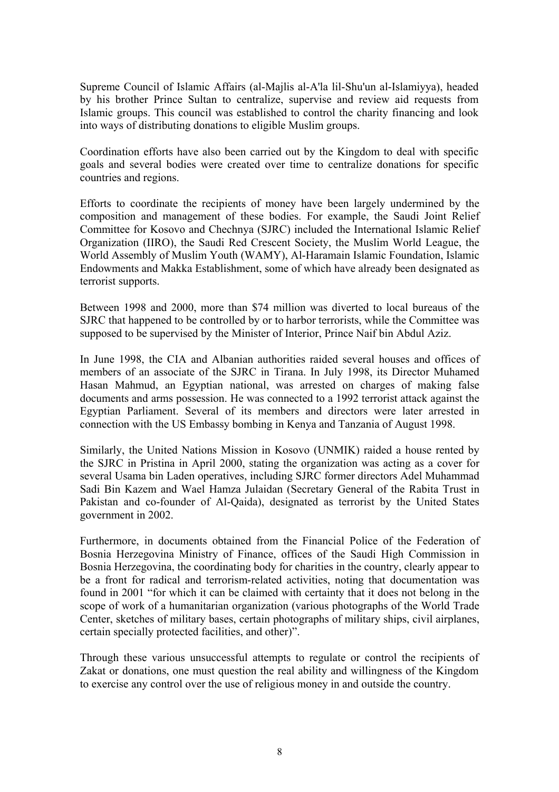Supreme Council of Islamic Affairs (al-Majlis al-A'la lil-Shu'un al-Islamiyya), headed by his brother Prince Sultan to centralize, supervise and review aid requests from Islamic groups. This council was established to control the charity financing and look into ways of distributing donations to eligible Muslim groups.

Coordination efforts have also been carried out by the Kingdom to deal with specific goals and several bodies were created over time to centralize donations for specific countries and regions.

Efforts to coordinate the recipients of money have been largely undermined by the composition and management of these bodies. For example, the Saudi Joint Relief Committee for Kosovo and Chechnya (SJRC) included the International Islamic Relief Organization (IIRO), the Saudi Red Crescent Society, the Muslim World League, the World Assembly of Muslim Youth (WAMY), Al-Haramain Islamic Foundation, Islamic Endowments and Makka Establishment, some of which have already been designated as terrorist supports.

Between 1998 and 2000, more than \$74 million was diverted to local bureaus of the SJRC that happened to be controlled by or to harbor terrorists, while the Committee was supposed to be supervised by the Minister of Interior, Prince Naif bin Abdul Aziz.

In June 1998, the CIA and Albanian authorities raided several houses and offices of members of an associate of the SJRC in Tirana. In July 1998, its Director Muhamed Hasan Mahmud, an Egyptian national, was arrested on charges of making false documents and arms possession. He was connected to a 1992 terrorist attack against the Egyptian Parliament. Several of its members and directors were later arrested in connection with the US Embassy bombing in Kenya and Tanzania of August 1998.

Similarly, the United Nations Mission in Kosovo (UNMIK) raided a house rented by the SJRC in Pristina in April 2000, stating the organization was acting as a cover for several Usama bin Laden operatives, including SJRC former directors Adel Muhammad Sadi Bin Kazem and Wael Hamza Julaidan (Secretary General of the Rabita Trust in Pakistan and co-founder of Al-Qaida), designated as terrorist by the United States government in 2002.

Furthermore, in documents obtained from the Financial Police of the Federation of Bosnia Herzegovina Ministry of Finance, offices of the Saudi High Commission in Bosnia Herzegovina, the coordinating body for charities in the country, clearly appear to be a front for radical and terrorism-related activities, noting that documentation was found in 2001 "for which it can be claimed with certainty that it does not belong in the scope of work of a humanitarian organization (various photographs of the World Trade Center, sketches of military bases, certain photographs of military ships, civil airplanes, certain specially protected facilities, and other)".

Through these various unsuccessful attempts to regulate or control the recipients of Zakat or donations, one must question the real ability and willingness of the Kingdom to exercise any control over the use of religious money in and outside the country.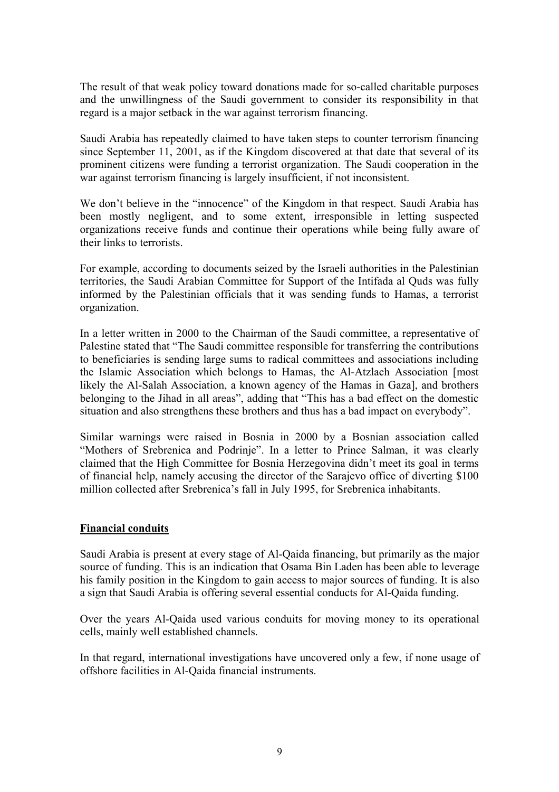The result of that weak policy toward donations made for so-called charitable purposes and the unwillingness of the Saudi government to consider its responsibility in that regard is a major setback in the war against terrorism financing.

Saudi Arabia has repeatedly claimed to have taken steps to counter terrorism financing since September 11, 2001, as if the Kingdom discovered at that date that several of its prominent citizens were funding a terrorist organization. The Saudi cooperation in the war against terrorism financing is largely insufficient, if not inconsistent.

We don't believe in the "innocence" of the Kingdom in that respect. Saudi Arabia has been mostly negligent, and to some extent, irresponsible in letting suspected organizations receive funds and continue their operations while being fully aware of their links to terrorists.

For example, according to documents seized by the Israeli authorities in the Palestinian territories, the Saudi Arabian Committee for Support of the Intifada al Quds was fully informed by the Palestinian officials that it was sending funds to Hamas, a terrorist organization.

In a letter written in 2000 to the Chairman of the Saudi committee, a representative of Palestine stated that "The Saudi committee responsible for transferring the contributions to beneficiaries is sending large sums to radical committees and associations including the Islamic Association which belongs to Hamas, the Al-Atzlach Association [most likely the Al-Salah Association, a known agency of the Hamas in Gaza], and brothers belonging to the Jihad in all areas", adding that "This has a bad effect on the domestic situation and also strengthens these brothers and thus has a bad impact on everybody".

Similar warnings were raised in Bosnia in 2000 by a Bosnian association called "Mothers of Srebrenica and Podrinje". In a letter to Prince Salman, it was clearly claimed that the High Committee for Bosnia Herzegovina didn't meet its goal in terms of financial help, namely accusing the director of the Sarajevo office of diverting \$100 million collected after Srebrenica's fall in July 1995, for Srebrenica inhabitants.

### **Financial conduits**

Saudi Arabia is present at every stage of Al-Qaida financing, but primarily as the major source of funding. This is an indication that Osama Bin Laden has been able to leverage his family position in the Kingdom to gain access to major sources of funding. It is also a sign that Saudi Arabia is offering several essential conducts for Al-Qaida funding.

Over the years Al-Qaida used various conduits for moving money to its operational cells, mainly well established channels.

In that regard, international investigations have uncovered only a few, if none usage of offshore facilities in Al-Qaida financial instruments.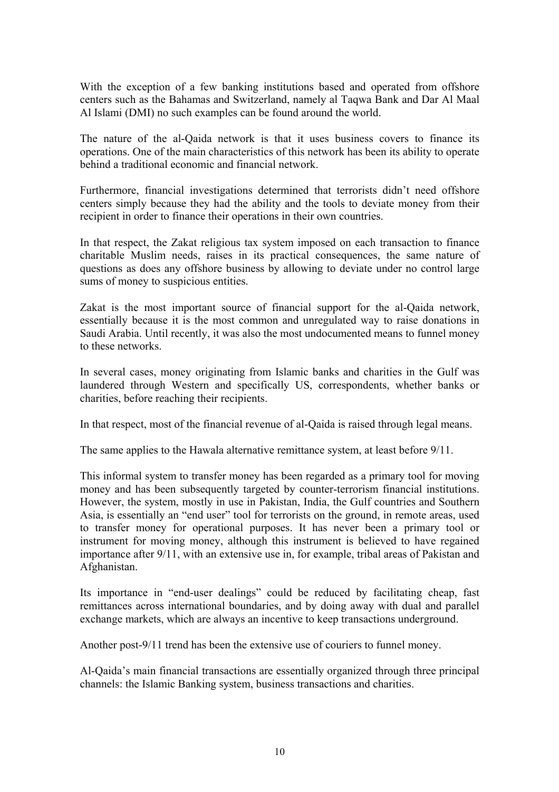With the exception of a few banking institutions based and operated from offshore centers such as the Bahamas and Switzerland, namely al Taqwa Bank and Dar Al Maal Al Islami (DMI) no such examples can be found around the world.

The nature of the al-Qaida network is that it uses business covers to finance its operations. One of the main characteristics of this network has been its ability to operate behind a traditional economic and financial network.

Furthermore, financial investigations determined that terrorists didn't need offshore centers simply because they had the ability and the tools to deviate money from their recipient in order to finance their operations in their own countries.

In that respect, the Zakat religious tax system imposed on each transaction to finance charitable Muslim needs, raises in its practical consequences, the same nature of questions as does any offshore business by allowing to deviate under no control large sums of money to suspicious entities.

Zakat is the most important source of financial support for the al-Qaida network, essentially because it is the most common and unregulated way to raise donations in Saudi Arabia. Until recently, it was also the most undocumented means to funnel money to these networks.

In several cases, money originating from Islamic banks and charities in the Gulf was laundered through Western and specifically US, correspondents, whether banks or charities, before reaching their recipients.

In that respect, most of the financial revenue of al-Qaida is raised through legal means.

The same applies to the Hawala alternative remittance system, at least before 9/11.

This informal system to transfer money has been regarded as a primary tool for moving money and has been subsequently targeted by counter-terrorism financial institutions. However, the system, mostly in use in Pakistan, India, the Gulf countries and Southern Asia, is essentially an "end user" tool for terrorists on the ground, in remote areas, used to transfer money for operational purposes. It has never been a primary tool or instrument for moving money, although this instrument is believed to have regained importance after 9/11, with an extensive use in, for example, tribal areas of Pakistan and Afghanistan.

Its importance in "end-user dealings" could be reduced by facilitating cheap, fast remittances across international boundaries, and by doing away with dual and parallel exchange markets, which are always an incentive to keep transactions underground.

Another post-9/11 trend has been the extensive use of couriers to funnel money.

Al-Qaida's main financial transactions are essentially organized through three principal channels: the Islamic Banking system, business transactions and charities.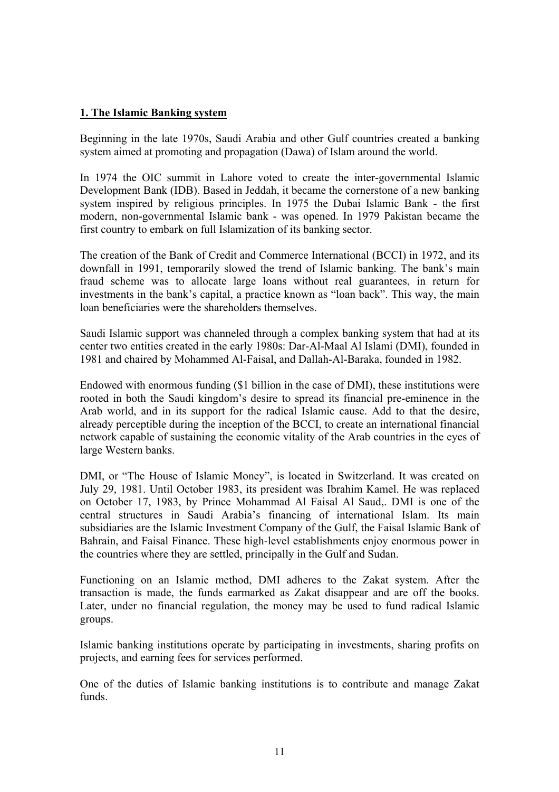## **1. The Islamic Banking system**

Beginning in the late 1970s, Saudi Arabia and other Gulf countries created a banking system aimed at promoting and propagation (Dawa) of Islam around the world.

In 1974 the OIC summit in Lahore voted to create the inter-governmental Islamic Development Bank (IDB). Based in Jeddah, it became the cornerstone of a new banking system inspired by religious principles. In 1975 the Dubai Islamic Bank - the first modern, non-governmental Islamic bank - was opened. In 1979 Pakistan became the first country to embark on full Islamization of its banking sector.

The creation of the Bank of Credit and Commerce International (BCCI) in 1972, and its downfall in 1991, temporarily slowed the trend of Islamic banking. The bank's main fraud scheme was to allocate large loans without real guarantees, in return for investments in the bank's capital, a practice known as "loan back". This way, the main loan beneficiaries were the shareholders themselves.

Saudi Islamic support was channeled through a complex banking system that had at its center two entities created in the early 1980s: Dar-Al-Maal Al Islami (DMI), founded in 1981 and chaired by Mohammed Al-Faisal, and Dallah-Al-Baraka, founded in 1982.

Endowed with enormous funding (\$1 billion in the case of DMI), these institutions were rooted in both the Saudi kingdom's desire to spread its financial pre-eminence in the Arab world, and in its support for the radical Islamic cause. Add to that the desire, already perceptible during the inception of the BCCI, to create an international financial network capable of sustaining the economic vitality of the Arab countries in the eyes of large Western banks.

DMI, or "The House of Islamic Money", is located in Switzerland. It was created on July 29, 1981. Until October 1983, its president was Ibrahim Kamel. He was replaced on October 17, 1983, by Prince Mohammad Al Faisal Al Saud,. DMI is one of the central structures in Saudi Arabia's financing of international Islam. Its main subsidiaries are the Islamic Investment Company of the Gulf, the Faisal Islamic Bank of Bahrain, and Faisal Finance. These high-level establishments enjoy enormous power in the countries where they are settled, principally in the Gulf and Sudan.

Functioning on an Islamic method, DMI adheres to the Zakat system. After the transaction is made, the funds earmarked as Zakat disappear and are off the books. Later, under no financial regulation, the money may be used to fund radical Islamic groups.

Islamic banking institutions operate by participating in investments, sharing profits on projects, and earning fees for services performed.

One of the duties of Islamic banking institutions is to contribute and manage Zakat funds.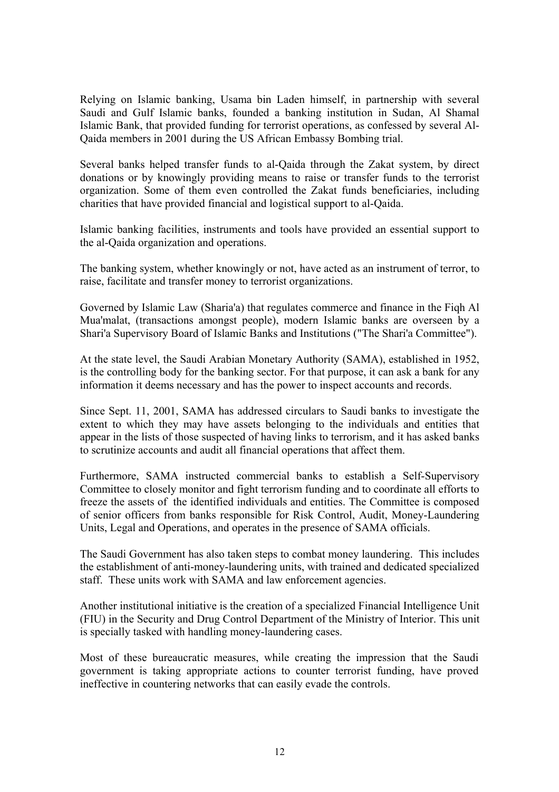Relying on Islamic banking, Usama bin Laden himself, in partnership with several Saudi and Gulf Islamic banks, founded a banking institution in Sudan, Al Shamal Islamic Bank, that provided funding for terrorist operations, as confessed by several Al-Qaida members in 2001 during the US African Embassy Bombing trial.

Several banks helped transfer funds to al-Qaida through the Zakat system, by direct donations or by knowingly providing means to raise or transfer funds to the terrorist organization. Some of them even controlled the Zakat funds beneficiaries, including charities that have provided financial and logistical support to al-Qaida.

Islamic banking facilities, instruments and tools have provided an essential support to the al-Qaida organization and operations.

The banking system, whether knowingly or not, have acted as an instrument of terror, to raise, facilitate and transfer money to terrorist organizations.

Governed by Islamic Law (Sharia'a) that regulates commerce and finance in the Fiqh Al Mua'malat, (transactions amongst people), modern Islamic banks are overseen by a Shari'a Supervisory Board of Islamic Banks and Institutions ("The Shari'a Committee").

At the state level, the Saudi Arabian Monetary Authority (SAMA), established in 1952, is the controlling body for the banking sector. For that purpose, it can ask a bank for any information it deems necessary and has the power to inspect accounts and records.

Since Sept. 11, 2001, SAMA has addressed circulars to Saudi banks to investigate the extent to which they may have assets belonging to the individuals and entities that appear in the lists of those suspected of having links to terrorism, and it has asked banks to scrutinize accounts and audit all financial operations that affect them.

Furthermore, SAMA instructed commercial banks to establish a Self-Supervisory Committee to closely monitor and fight terrorism funding and to coordinate all efforts to freeze the assets of the identified individuals and entities. The Committee is composed of senior officers from banks responsible for Risk Control, Audit, Money-Laundering Units, Legal and Operations, and operates in the presence of SAMA officials.

The Saudi Government has also taken steps to combat money laundering. This includes the establishment of anti-money-laundering units, with trained and dedicated specialized staff. These units work with SAMA and law enforcement agencies.

Another institutional initiative is the creation of a specialized Financial Intelligence Unit (FIU) in the Security and Drug Control Department of the Ministry of Interior. This unit is specially tasked with handling money-laundering cases.

Most of these bureaucratic measures, while creating the impression that the Saudi government is taking appropriate actions to counter terrorist funding, have proved ineffective in countering networks that can easily evade the controls.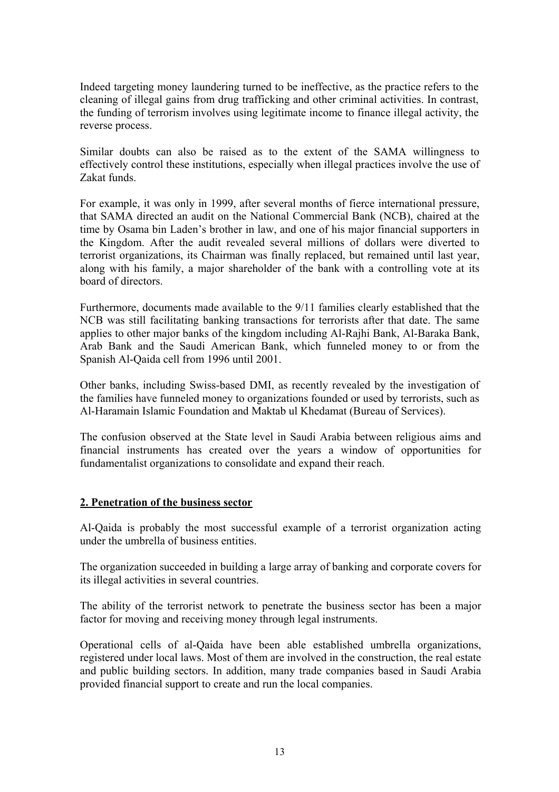Indeed targeting money laundering turned to be ineffective, as the practice refers to the cleaning of illegal gains from drug trafficking and other criminal activities. In contrast, the funding of terrorism involves using legitimate income to finance illegal activity, the reverse process.

Similar doubts can also be raised as to the extent of the SAMA willingness to effectively control these institutions, especially when illegal practices involve the use of Zakat funds.

For example, it was only in 1999, after several months of fierce international pressure, that SAMA directed an audit on the National Commercial Bank (NCB), chaired at the time by Osama bin Laden's brother in law, and one of his major financial supporters in the Kingdom. After the audit revealed several millions of dollars were diverted to terrorist organizations, its Chairman was finally replaced, but remained until last year, along with his family, a major shareholder of the bank with a controlling vote at its board of directors.

Furthermore, documents made available to the 9/11 families clearly established that the NCB was still facilitating banking transactions for terrorists after that date. The same applies to other major banks of the kingdom including Al-Rajhi Bank, Al-Baraka Bank, Arab Bank and the Saudi American Bank, which funneled money to or from the Spanish Al-Qaida cell from 1996 until 2001.

Other banks, including Swiss-based DMI, as recently revealed by the investigation of the families have funneled money to organizations founded or used by terrorists, such as Al-Haramain Islamic Foundation and Maktab ul Khedamat (Bureau of Services).

The confusion observed at the State level in Saudi Arabia between religious aims and financial instruments has created over the years a window of opportunities for fundamentalist organizations to consolidate and expand their reach.

## **2. Penetration of the business sector**

Al-Qaida is probably the most successful example of a terrorist organization acting under the umbrella of business entities.

The organization succeeded in building a large array of banking and corporate covers for its illegal activities in several countries.

The ability of the terrorist network to penetrate the business sector has been a major factor for moving and receiving money through legal instruments.

Operational cells of al-Qaida have been able established umbrella organizations, registered under local laws. Most of them are involved in the construction, the real estate and public building sectors. In addition, many trade companies based in Saudi Arabia provided financial support to create and run the local companies.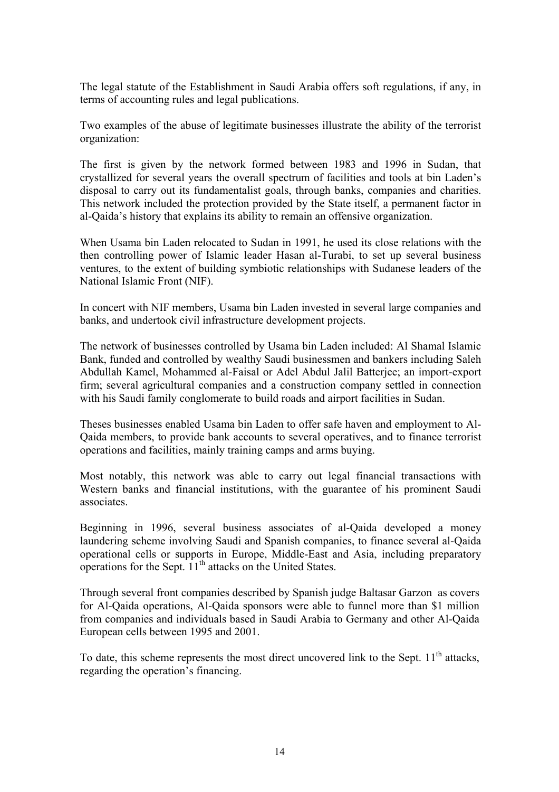The legal statute of the Establishment in Saudi Arabia offers soft regulations, if any, in terms of accounting rules and legal publications.

Two examples of the abuse of legitimate businesses illustrate the ability of the terrorist organization:

The first is given by the network formed between 1983 and 1996 in Sudan, that crystallized for several years the overall spectrum of facilities and tools at bin Laden's disposal to carry out its fundamentalist goals, through banks, companies and charities. This network included the protection provided by the State itself, a permanent factor in al-Qaida's history that explains its ability to remain an offensive organization.

When Usama bin Laden relocated to Sudan in 1991, he used its close relations with the then controlling power of Islamic leader Hasan al-Turabi, to set up several business ventures, to the extent of building symbiotic relationships with Sudanese leaders of the National Islamic Front (NIF).

In concert with NIF members, Usama bin Laden invested in several large companies and banks, and undertook civil infrastructure development projects.

The network of businesses controlled by Usama bin Laden included: Al Shamal Islamic Bank, funded and controlled by wealthy Saudi businessmen and bankers including Saleh Abdullah Kamel, Mohammed al-Faisal or Adel Abdul Jalil Batterjee; an import-export firm; several agricultural companies and a construction company settled in connection with his Saudi family conglomerate to build roads and airport facilities in Sudan.

Theses businesses enabled Usama bin Laden to offer safe haven and employment to Al-Qaida members, to provide bank accounts to several operatives, and to finance terrorist operations and facilities, mainly training camps and arms buying.

Most notably, this network was able to carry out legal financial transactions with Western banks and financial institutions, with the guarantee of his prominent Saudi associates.

Beginning in 1996, several business associates of al-Qaida developed a money laundering scheme involving Saudi and Spanish companies, to finance several al-Qaida operational cells or supports in Europe, Middle-East and Asia, including preparatory operations for the Sept.  $11<sup>th</sup>$  attacks on the United States.

Through several front companies described by Spanish judge Baltasar Garzon as covers for Al-Qaida operations, Al-Qaida sponsors were able to funnel more than \$1 million from companies and individuals based in Saudi Arabia to Germany and other Al-Qaida European cells between 1995 and 2001.

To date, this scheme represents the most direct uncovered link to the Sept.  $11<sup>th</sup>$  attacks, regarding the operation's financing.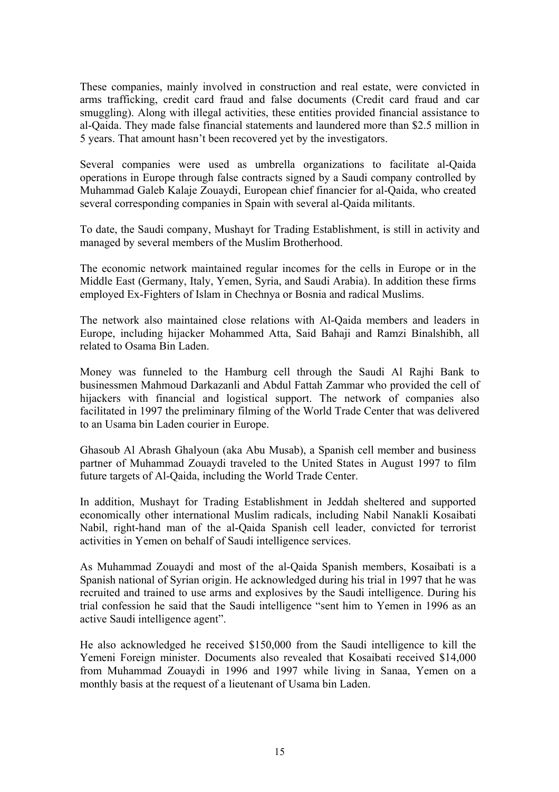These companies, mainly involved in construction and real estate, were convicted in arms trafficking, credit card fraud and false documents (Credit card fraud and car smuggling). Along with illegal activities, these entities provided financial assistance to al-Qaida. They made false financial statements and laundered more than \$2.5 million in 5 years. That amount hasn't been recovered yet by the investigators.

Several companies were used as umbrella organizations to facilitate al-Qaida operations in Europe through false contracts signed by a Saudi company controlled by Muhammad Galeb Kalaje Zouaydi, European chief financier for al-Qaida, who created several corresponding companies in Spain with several al-Qaida militants.

To date, the Saudi company, Mushayt for Trading Establishment, is still in activity and managed by several members of the Muslim Brotherhood.

The economic network maintained regular incomes for the cells in Europe or in the Middle East (Germany, Italy, Yemen, Syria, and Saudi Arabia). In addition these firms employed Ex-Fighters of Islam in Chechnya or Bosnia and radical Muslims.

The network also maintained close relations with Al-Qaida members and leaders in Europe, including hijacker Mohammed Atta, Said Bahaji and Ramzi Binalshibh, all related to Osama Bin Laden.

Money was funneled to the Hamburg cell through the Saudi Al Rajhi Bank to businessmen Mahmoud Darkazanli and Abdul Fattah Zammar who provided the cell of hijackers with financial and logistical support. The network of companies also facilitated in 1997 the preliminary filming of the World Trade Center that was delivered to an Usama bin Laden courier in Europe.

Ghasoub Al Abrash Ghalyoun (aka Abu Musab), a Spanish cell member and business partner of Muhammad Zouaydi traveled to the United States in August 1997 to film future targets of Al-Qaida, including the World Trade Center.

In addition, Mushayt for Trading Establishment in Jeddah sheltered and supported economically other international Muslim radicals, including Nabil Nanakli Kosaibati Nabil, right-hand man of the al-Qaida Spanish cell leader, convicted for terrorist activities in Yemen on behalf of Saudi intelligence services.

As Muhammad Zouaydi and most of the al-Qaida Spanish members, Kosaibati is a Spanish national of Syrian origin. He acknowledged during his trial in 1997 that he was recruited and trained to use arms and explosives by the Saudi intelligence. During his trial confession he said that the Saudi intelligence "sent him to Yemen in 1996 as an active Saudi intelligence agent".

He also acknowledged he received \$150,000 from the Saudi intelligence to kill the Yemeni Foreign minister. Documents also revealed that Kosaibati received \$14,000 from Muhammad Zouaydi in 1996 and 1997 while living in Sanaa, Yemen on a monthly basis at the request of a lieutenant of Usama bin Laden.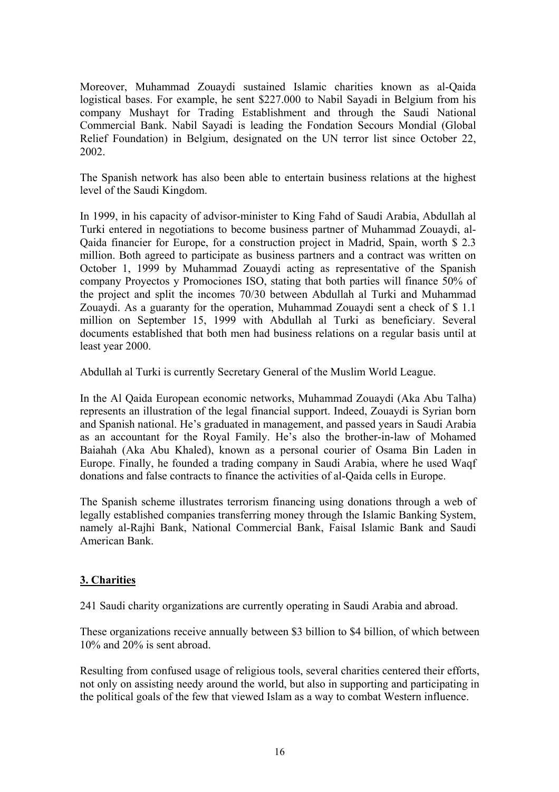Moreover, Muhammad Zouaydi sustained Islamic charities known as al-Qaida logistical bases. For example, he sent \$227.000 to Nabil Sayadi in Belgium from his company Mushayt for Trading Establishment and through the Saudi National Commercial Bank. Nabil Sayadi is leading the Fondation Secours Mondial (Global Relief Foundation) in Belgium, designated on the UN terror list since October 22, 2002.

The Spanish network has also been able to entertain business relations at the highest level of the Saudi Kingdom.

In 1999, in his capacity of advisor-minister to King Fahd of Saudi Arabia, Abdullah al Turki entered in negotiations to become business partner of Muhammad Zouaydi, al-Qaida financier for Europe, for a construction project in Madrid, Spain, worth \$ 2.3 million. Both agreed to participate as business partners and a contract was written on October 1, 1999 by Muhammad Zouaydi acting as representative of the Spanish company Proyectos y Promociones ISO, stating that both parties will finance 50% of the project and split the incomes 70/30 between Abdullah al Turki and Muhammad Zouaydi. As a guaranty for the operation, Muhammad Zouaydi sent a check of \$ 1.1 million on September 15, 1999 with Abdullah al Turki as beneficiary. Several documents established that both men had business relations on a regular basis until at least year 2000.

Abdullah al Turki is currently Secretary General of the Muslim World League.

In the Al Qaida European economic networks, Muhammad Zouaydi (Aka Abu Talha) represents an illustration of the legal financial support. Indeed, Zouaydi is Syrian born and Spanish national. He's graduated in management, and passed years in Saudi Arabia as an accountant for the Royal Family. He's also the brother-in-law of Mohamed Baiahah (Aka Abu Khaled), known as a personal courier of Osama Bin Laden in Europe. Finally, he founded a trading company in Saudi Arabia, where he used Waqf donations and false contracts to finance the activities of al-Qaida cells in Europe.

The Spanish scheme illustrates terrorism financing using donations through a web of legally established companies transferring money through the Islamic Banking System, namely al-Rajhi Bank, National Commercial Bank, Faisal Islamic Bank and Saudi American Bank.

## **3. Charities**

241 Saudi charity organizations are currently operating in Saudi Arabia and abroad.

These organizations receive annually between \$3 billion to \$4 billion, of which between 10% and 20% is sent abroad.

Resulting from confused usage of religious tools, several charities centered their efforts, not only on assisting needy around the world, but also in supporting and participating in the political goals of the few that viewed Islam as a way to combat Western influence.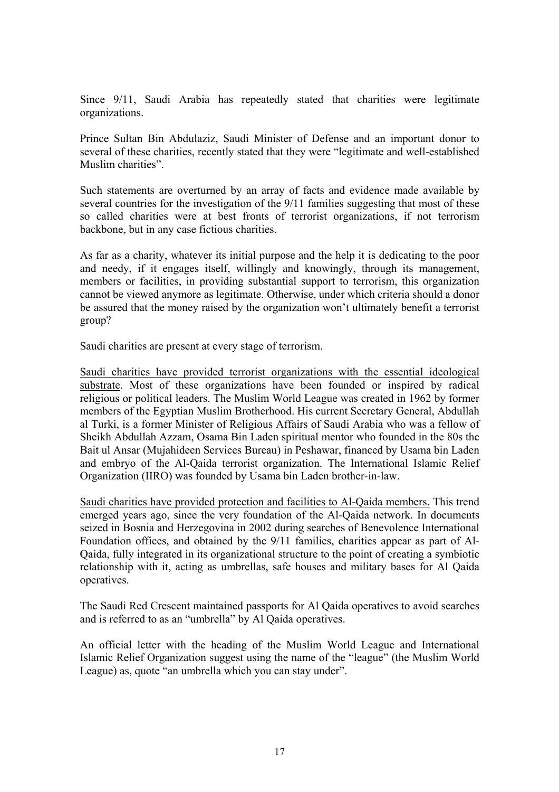Since 9/11, Saudi Arabia has repeatedly stated that charities were legitimate organizations.

Prince Sultan Bin Abdulaziz, Saudi Minister of Defense and an important donor to several of these charities, recently stated that they were "legitimate and well-established Muslim charities".

Such statements are overturned by an array of facts and evidence made available by several countries for the investigation of the 9/11 families suggesting that most of these so called charities were at best fronts of terrorist organizations, if not terrorism backbone, but in any case fictious charities.

As far as a charity, whatever its initial purpose and the help it is dedicating to the poor and needy, if it engages itself, willingly and knowingly, through its management, members or facilities, in providing substantial support to terrorism, this organization cannot be viewed anymore as legitimate. Otherwise, under which criteria should a donor be assured that the money raised by the organization won't ultimately benefit a terrorist group?

Saudi charities are present at every stage of terrorism.

Saudi charities have provided terrorist organizations with the essential ideological substrate. Most of these organizations have been founded or inspired by radical religious or political leaders. The Muslim World League was created in 1962 by former members of the Egyptian Muslim Brotherhood. His current Secretary General, Abdullah al Turki, is a former Minister of Religious Affairs of Saudi Arabia who was a fellow of Sheikh Abdullah Azzam, Osama Bin Laden spiritual mentor who founded in the 80s the Bait ul Ansar (Mujahideen Services Bureau) in Peshawar, financed by Usama bin Laden and embryo of the Al-Qaida terrorist organization. The International Islamic Relief Organization (IIRO) was founded by Usama bin Laden brother-in-law.

Saudi charities have provided protection and facilities to Al-Qaida members. This trend emerged years ago, since the very foundation of the Al-Qaida network. In documents seized in Bosnia and Herzegovina in 2002 during searches of Benevolence International Foundation offices, and obtained by the 9/11 families, charities appear as part of Al-Qaida, fully integrated in its organizational structure to the point of creating a symbiotic relationship with it, acting as umbrellas, safe houses and military bases for Al Qaida operatives.

The Saudi Red Crescent maintained passports for Al Qaida operatives to avoid searches and is referred to as an "umbrella" by Al Qaida operatives.

An official letter with the heading of the Muslim World League and International Islamic Relief Organization suggest using the name of the "league" (the Muslim World League) as, quote "an umbrella which you can stay under".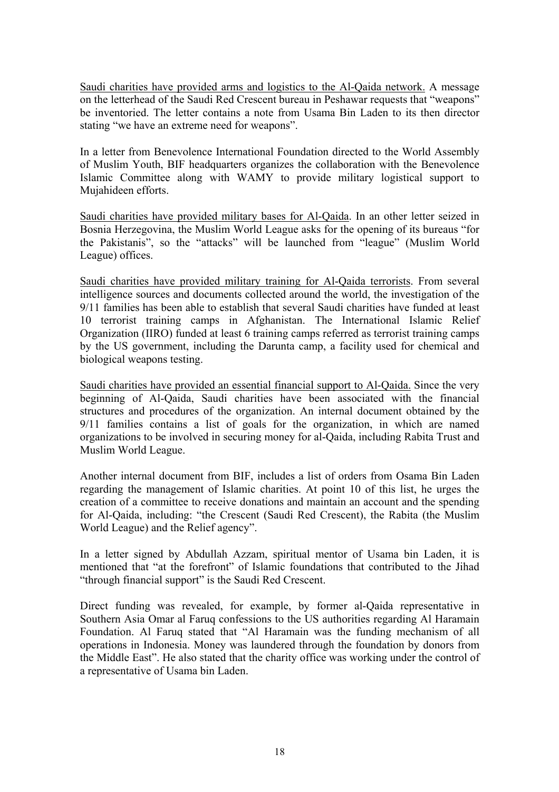Saudi charities have provided arms and logistics to the Al-Qaida network. A message on the letterhead of the Saudi Red Crescent bureau in Peshawar requests that "weapons" be inventoried. The letter contains a note from Usama Bin Laden to its then director stating "we have an extreme need for weapons".

In a letter from Benevolence International Foundation directed to the World Assembly of Muslim Youth, BIF headquarters organizes the collaboration with the Benevolence Islamic Committee along with WAMY to provide military logistical support to Mujahideen efforts.

Saudi charities have provided military bases for Al-Qaida. In an other letter seized in Bosnia Herzegovina, the Muslim World League asks for the opening of its bureaus "for the Pakistanis", so the "attacks" will be launched from "league" (Muslim World League) offices.

Saudi charities have provided military training for Al-Qaida terrorists. From several intelligence sources and documents collected around the world, the investigation of the 9/11 families has been able to establish that several Saudi charities have funded at least 10 terrorist training camps in Afghanistan. The International Islamic Relief Organization (IIRO) funded at least 6 training camps referred as terrorist training camps by the US government, including the Darunta camp, a facility used for chemical and biological weapons testing.

Saudi charities have provided an essential financial support to Al-Qaida. Since the very beginning of Al-Qaida, Saudi charities have been associated with the financial structures and procedures of the organization. An internal document obtained by the 9/11 families contains a list of goals for the organization, in which are named organizations to be involved in securing money for al-Qaida, including Rabita Trust and Muslim World League.

Another internal document from BIF, includes a list of orders from Osama Bin Laden regarding the management of Islamic charities. At point 10 of this list, he urges the creation of a committee to receive donations and maintain an account and the spending for Al-Qaida, including: "the Crescent (Saudi Red Crescent), the Rabita (the Muslim World League) and the Relief agency".

In a letter signed by Abdullah Azzam, spiritual mentor of Usama bin Laden, it is mentioned that "at the forefront" of Islamic foundations that contributed to the Jihad "through financial support" is the Saudi Red Crescent.

Direct funding was revealed, for example, by former al-Qaida representative in Southern Asia Omar al Faruq confessions to the US authorities regarding Al Haramain Foundation. Al Faruq stated that "Al Haramain was the funding mechanism of all operations in Indonesia. Money was laundered through the foundation by donors from the Middle East". He also stated that the charity office was working under the control of a representative of Usama bin Laden.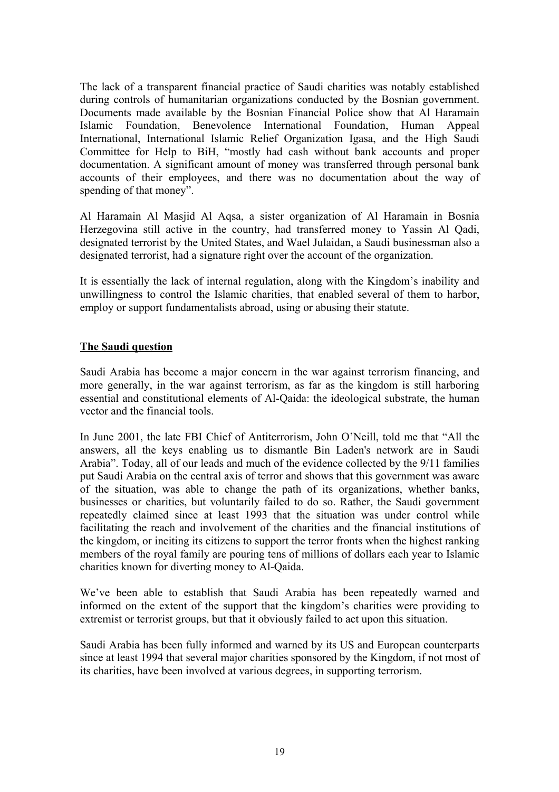The lack of a transparent financial practice of Saudi charities was notably established during controls of humanitarian organizations conducted by the Bosnian government. Documents made available by the Bosnian Financial Police show that Al Haramain Islamic Foundation, Benevolence International Foundation, Human Appeal International, International Islamic Relief Organization Igasa, and the High Saudi Committee for Help to BiH, "mostly had cash without bank accounts and proper documentation. A significant amount of money was transferred through personal bank accounts of their employees, and there was no documentation about the way of spending of that money".

Al Haramain Al Masjid Al Aqsa, a sister organization of Al Haramain in Bosnia Herzegovina still active in the country, had transferred money to Yassin Al Qadi, designated terrorist by the United States, and Wael Julaidan, a Saudi businessman also a designated terrorist, had a signature right over the account of the organization.

It is essentially the lack of internal regulation, along with the Kingdom's inability and unwillingness to control the Islamic charities, that enabled several of them to harbor, employ or support fundamentalists abroad, using or abusing their statute.

# **The Saudi question**

Saudi Arabia has become a major concern in the war against terrorism financing, and more generally, in the war against terrorism, as far as the kingdom is still harboring essential and constitutional elements of Al-Qaida: the ideological substrate, the human vector and the financial tools.

In June 2001, the late FBI Chief of Antiterrorism, John O'Neill, told me that "All the answers, all the keys enabling us to dismantle Bin Laden's network are in Saudi Arabia". Today, all of our leads and much of the evidence collected by the 9/11 families put Saudi Arabia on the central axis of terror and shows that this government was aware of the situation, was able to change the path of its organizations, whether banks, businesses or charities, but voluntarily failed to do so. Rather, the Saudi government repeatedly claimed since at least 1993 that the situation was under control while facilitating the reach and involvement of the charities and the financial institutions of the kingdom, or inciting its citizens to support the terror fronts when the highest ranking members of the royal family are pouring tens of millions of dollars each year to Islamic charities known for diverting money to Al-Qaida.

We've been able to establish that Saudi Arabia has been repeatedly warned and informed on the extent of the support that the kingdom's charities were providing to extremist or terrorist groups, but that it obviously failed to act upon this situation.

Saudi Arabia has been fully informed and warned by its US and European counterparts since at least 1994 that several major charities sponsored by the Kingdom, if not most of its charities, have been involved at various degrees, in supporting terrorism.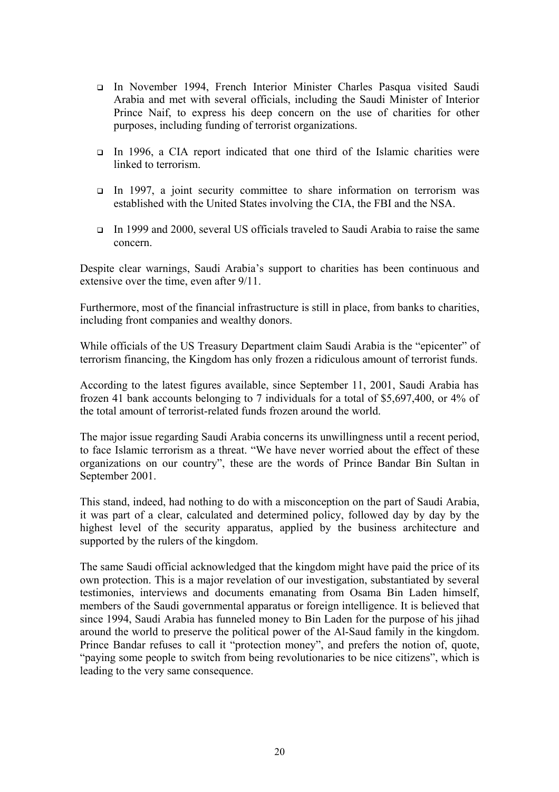- In November 1994, French Interior Minister Charles Pasqua visited Saudi Arabia and met with several officials, including the Saudi Minister of Interior Prince Naif, to express his deep concern on the use of charities for other purposes, including funding of terrorist organizations.
- In 1996, a CIA report indicated that one third of the Islamic charities were linked to terrorism.
- In 1997, a joint security committee to share information on terrorism was established with the United States involving the CIA, the FBI and the NSA.
- In 1999 and 2000, several US officials traveled to Saudi Arabia to raise the same concern.

Despite clear warnings, Saudi Arabia's support to charities has been continuous and extensive over the time, even after 9/11.

Furthermore, most of the financial infrastructure is still in place, from banks to charities, including front companies and wealthy donors.

While officials of the US Treasury Department claim Saudi Arabia is the "epicenter" of terrorism financing, the Kingdom has only frozen a ridiculous amount of terrorist funds.

According to the latest figures available, since September 11, 2001, Saudi Arabia has frozen 41 bank accounts belonging to 7 individuals for a total of \$5,697,400, or 4% of the total amount of terrorist-related funds frozen around the world.

The major issue regarding Saudi Arabia concerns its unwillingness until a recent period, to face Islamic terrorism as a threat. "We have never worried about the effect of these organizations on our country", these are the words of Prince Bandar Bin Sultan in September 2001.

This stand, indeed, had nothing to do with a misconception on the part of Saudi Arabia, it was part of a clear, calculated and determined policy, followed day by day by the highest level of the security apparatus, applied by the business architecture and supported by the rulers of the kingdom.

The same Saudi official acknowledged that the kingdom might have paid the price of its own protection. This is a major revelation of our investigation, substantiated by several testimonies, interviews and documents emanating from Osama Bin Laden himself, members of the Saudi governmental apparatus or foreign intelligence. It is believed that since 1994, Saudi Arabia has funneled money to Bin Laden for the purpose of his jihad around the world to preserve the political power of the Al-Saud family in the kingdom. Prince Bandar refuses to call it "protection money", and prefers the notion of, quote, "paying some people to switch from being revolutionaries to be nice citizens", which is leading to the very same consequence.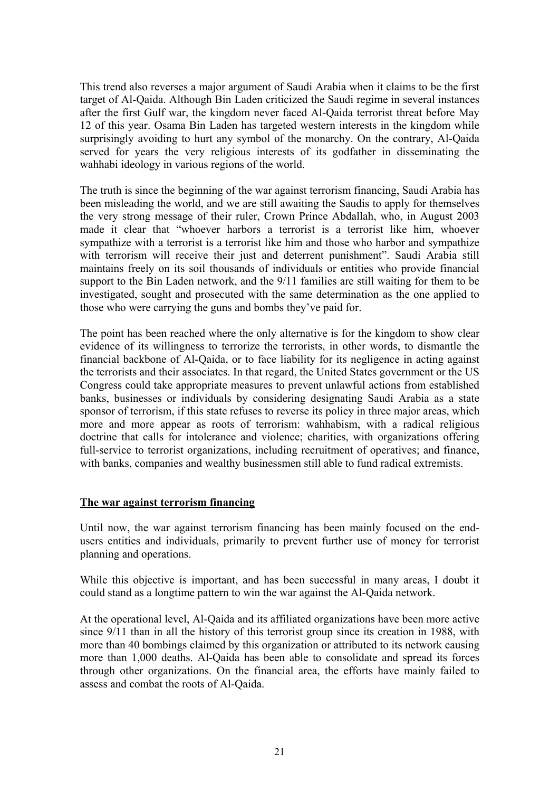This trend also reverses a major argument of Saudi Arabia when it claims to be the first target of Al-Qaida. Although Bin Laden criticized the Saudi regime in several instances after the first Gulf war, the kingdom never faced Al-Qaida terrorist threat before May 12 of this year. Osama Bin Laden has targeted western interests in the kingdom while surprisingly avoiding to hurt any symbol of the monarchy. On the contrary, Al-Qaida served for years the very religious interests of its godfather in disseminating the wahhabi ideology in various regions of the world.

The truth is since the beginning of the war against terrorism financing, Saudi Arabia has been misleading the world, and we are still awaiting the Saudis to apply for themselves the very strong message of their ruler, Crown Prince Abdallah, who, in August 2003 made it clear that "whoever harbors a terrorist is a terrorist like him, whoever sympathize with a terrorist is a terrorist like him and those who harbor and sympathize with terrorism will receive their just and deterrent punishment". Saudi Arabia still maintains freely on its soil thousands of individuals or entities who provide financial support to the Bin Laden network, and the 9/11 families are still waiting for them to be investigated, sought and prosecuted with the same determination as the one applied to those who were carrying the guns and bombs they've paid for.

The point has been reached where the only alternative is for the kingdom to show clear evidence of its willingness to terrorize the terrorists, in other words, to dismantle the financial backbone of Al-Qaida, or to face liability for its negligence in acting against the terrorists and their associates. In that regard, the United States government or the US Congress could take appropriate measures to prevent unlawful actions from established banks, businesses or individuals by considering designating Saudi Arabia as a state sponsor of terrorism, if this state refuses to reverse its policy in three major areas, which more and more appear as roots of terrorism: wahhabism, with a radical religious doctrine that calls for intolerance and violence; charities, with organizations offering full-service to terrorist organizations, including recruitment of operatives; and finance, with banks, companies and wealthy businessmen still able to fund radical extremists.

## **The war against terrorism financing**

Until now, the war against terrorism financing has been mainly focused on the endusers entities and individuals, primarily to prevent further use of money for terrorist planning and operations.

While this objective is important, and has been successful in many areas, I doubt it could stand as a longtime pattern to win the war against the Al-Qaida network.

At the operational level, Al-Qaida and its affiliated organizations have been more active since 9/11 than in all the history of this terrorist group since its creation in 1988, with more than 40 bombings claimed by this organization or attributed to its network causing more than 1,000 deaths. Al-Qaida has been able to consolidate and spread its forces through other organizations. On the financial area, the efforts have mainly failed to assess and combat the roots of Al-Qaida.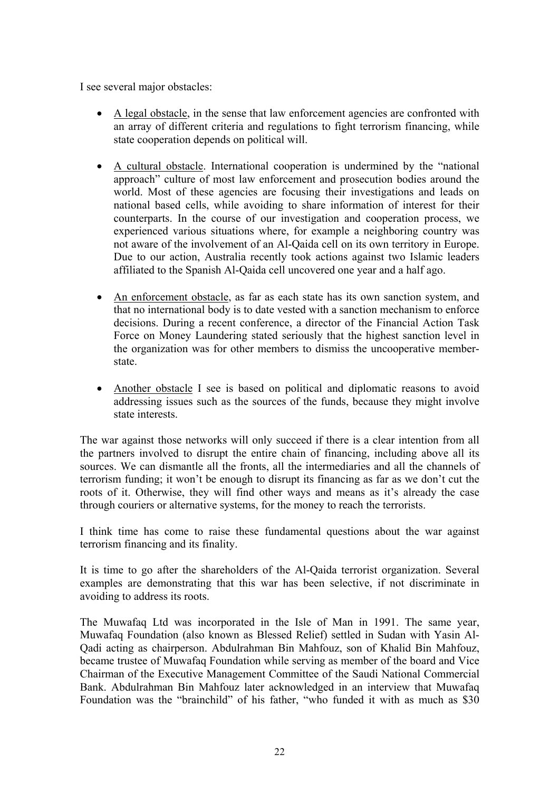I see several major obstacles:

- A legal obstacle, in the sense that law enforcement agencies are confronted with an array of different criteria and regulations to fight terrorism financing, while state cooperation depends on political will.
- A cultural obstacle. International cooperation is undermined by the "national approach" culture of most law enforcement and prosecution bodies around the world. Most of these agencies are focusing their investigations and leads on national based cells, while avoiding to share information of interest for their counterparts. In the course of our investigation and cooperation process, we experienced various situations where, for example a neighboring country was not aware of the involvement of an Al-Qaida cell on its own territory in Europe. Due to our action, Australia recently took actions against two Islamic leaders affiliated to the Spanish Al-Qaida cell uncovered one year and a half ago.
- An enforcement obstacle, as far as each state has its own sanction system, and that no international body is to date vested with a sanction mechanism to enforce decisions. During a recent conference, a director of the Financial Action Task Force on Money Laundering stated seriously that the highest sanction level in the organization was for other members to dismiss the uncooperative memberstate.
- Another obstacle I see is based on political and diplomatic reasons to avoid addressing issues such as the sources of the funds, because they might involve state interests.

The war against those networks will only succeed if there is a clear intention from all the partners involved to disrupt the entire chain of financing, including above all its sources. We can dismantle all the fronts, all the intermediaries and all the channels of terrorism funding; it won't be enough to disrupt its financing as far as we don't cut the roots of it. Otherwise, they will find other ways and means as it's already the case through couriers or alternative systems, for the money to reach the terrorists.

I think time has come to raise these fundamental questions about the war against terrorism financing and its finality.

It is time to go after the shareholders of the Al-Qaida terrorist organization. Several examples are demonstrating that this war has been selective, if not discriminate in avoiding to address its roots.

The Muwafaq Ltd was incorporated in the Isle of Man in 1991. The same year, Muwafaq Foundation (also known as Blessed Relief) settled in Sudan with Yasin Al-Qadi acting as chairperson. Abdulrahman Bin Mahfouz, son of Khalid Bin Mahfouz, became trustee of Muwafaq Foundation while serving as member of the board and Vice Chairman of the Executive Management Committee of the Saudi National Commercial Bank. Abdulrahman Bin Mahfouz later acknowledged in an interview that Muwafaq Foundation was the "brainchild" of his father, "who funded it with as much as \$30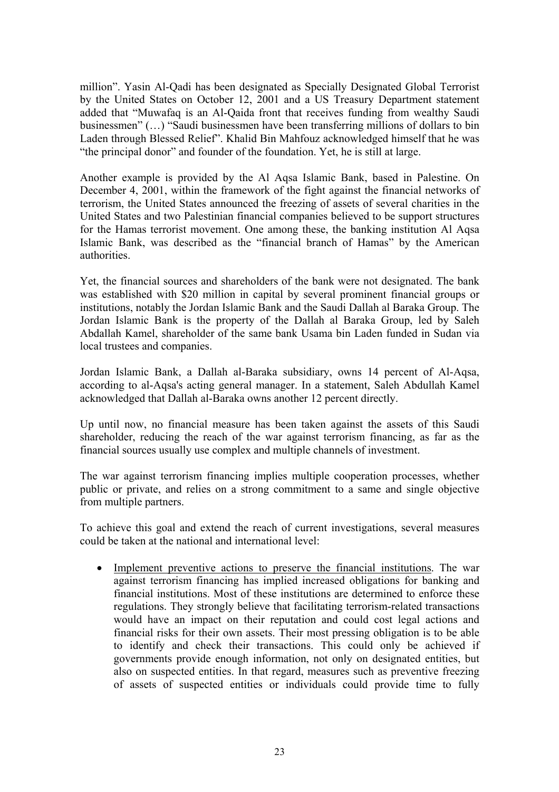million". Yasin Al-Qadi has been designated as Specially Designated Global Terrorist by the United States on October 12, 2001 and a US Treasury Department statement added that "Muwafaq is an Al-Qaida front that receives funding from wealthy Saudi businessmen" (…) "Saudi businessmen have been transferring millions of dollars to bin Laden through Blessed Relief". Khalid Bin Mahfouz acknowledged himself that he was "the principal donor" and founder of the foundation. Yet, he is still at large.

Another example is provided by the Al Aqsa Islamic Bank, based in Palestine. On December 4, 2001, within the framework of the fight against the financial networks of terrorism, the United States announced the freezing of assets of several charities in the United States and two Palestinian financial companies believed to be support structures for the Hamas terrorist movement. One among these, the banking institution Al Aqsa Islamic Bank, was described as the "financial branch of Hamas" by the American authorities.

Yet, the financial sources and shareholders of the bank were not designated. The bank was established with \$20 million in capital by several prominent financial groups or institutions, notably the Jordan Islamic Bank and the Saudi Dallah al Baraka Group. The Jordan Islamic Bank is the property of the Dallah al Baraka Group, led by Saleh Abdallah Kamel, shareholder of the same bank Usama bin Laden funded in Sudan via local trustees and companies.

Jordan Islamic Bank, a Dallah al-Baraka subsidiary, owns 14 percent of Al-Aqsa, according to al-Aqsa's acting general manager. In a statement, Saleh Abdullah Kamel acknowledged that Dallah al-Baraka owns another 12 percent directly.

Up until now, no financial measure has been taken against the assets of this Saudi shareholder, reducing the reach of the war against terrorism financing, as far as the financial sources usually use complex and multiple channels of investment.

The war against terrorism financing implies multiple cooperation processes, whether public or private, and relies on a strong commitment to a same and single objective from multiple partners.

To achieve this goal and extend the reach of current investigations, several measures could be taken at the national and international level:

• Implement preventive actions to preserve the financial institutions. The war against terrorism financing has implied increased obligations for banking and financial institutions. Most of these institutions are determined to enforce these regulations. They strongly believe that facilitating terrorism-related transactions would have an impact on their reputation and could cost legal actions and financial risks for their own assets. Their most pressing obligation is to be able to identify and check their transactions. This could only be achieved if governments provide enough information, not only on designated entities, but also on suspected entities. In that regard, measures such as preventive freezing of assets of suspected entities or individuals could provide time to fully